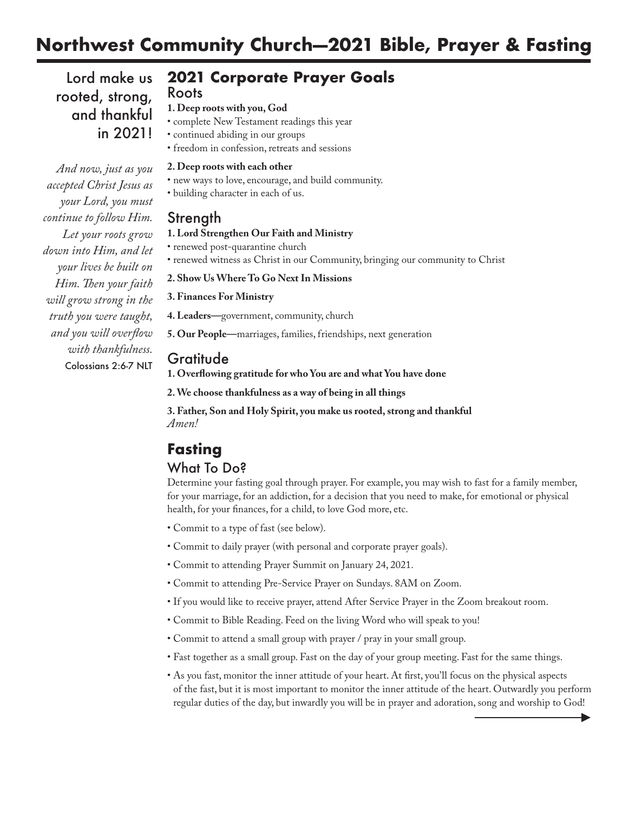## **Northwest Community Church—2021 Bible, Prayer & Fasting**

Lord make us rooted, strong, and thankful in 2021!

## **2021 Corporate Prayer Goals**

### Roots

**1. Deep roots with you, God**

- complete New Testament readings this year
- continued abiding in our groups
- freedom in confession, retreats and sessions

### **2. Deep roots with each other**

- new ways to love, encourage, and build community.
- building character in each of us.

## Strength

### **1. Lord Strengthen Our Faith and Ministry**

- renewed post-quarantine church
- renewed witness as Christ in our Community, bringing our community to Christ

### **2. Show Us Where To Go Next In Missions**

**3. Finances For Ministry**

- **4. Leaders—**government, community, church
- **5. Our People—**marriages, families, friendships, next generation

## Gratitude

**1. Overflowing gratitude for who You are and what You have done**

**2.We choose thankfulness as a way of being in all things**

**3. Father, Son and Holy Spirit, you make us rooted, strong and thankful** *Amen!*

# **Fasting**

## What To Do?

Determine your fasting goal through prayer. For example, you may wish to fast for a family member, for your marriage, for an addiction, for a decision that you need to make, for emotional or physical health, for your finances, for a child, to love God more, etc.

- Commit to a type of fast (see below).
- Commit to daily prayer (with personal and corporate prayer goals).
- Commit to attending Prayer Summit on January 24, 2021.
- Commit to attending Pre-Service Prayer on Sundays. 8AM on Zoom.
- If you would like to receive prayer, attend After Service Prayer in the Zoom breakout room.
- Commit to Bible Reading. Feed on the living Word who will speak to you!
- Commit to attend a small group with prayer / pray in your small group.
- Fast together as a small group. Fast on the day of your group meeting. Fast for the same things.
- As you fast, monitor the inner attitude of your heart. At first, you'll focus on the physical aspects of the fast, but it is most important to monitor the inner attitude of the heart. Outwardly you perform regular duties of the day, but inwardly you will be in prayer and adoration, song and worship to God!

*And now, just as you accepted Christ Jesus as your Lord, you must continue to follow Him. Let your roots grow down into Him, and let your lives be built on Him.Then your faith will grow strong in the truth you were taught, and you will overflow with thankfulness.* Colossians 2:6-7 NLT